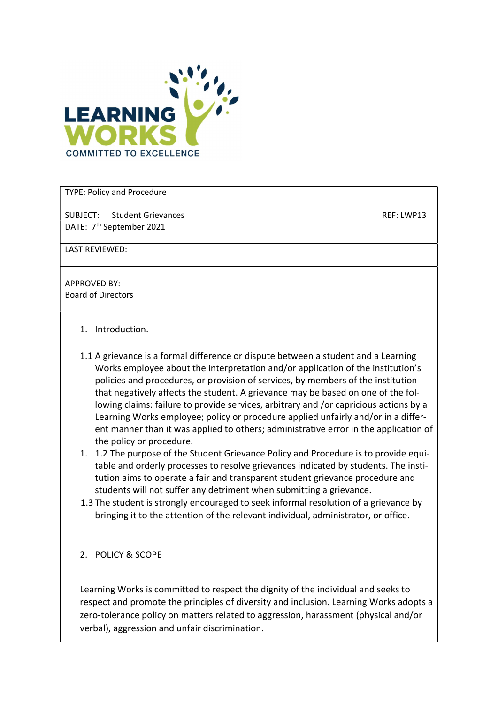

TYPE: Policy and Procedure

SUBJECT: Student Grievances REF: LWP13

DATE: 7<sup>th</sup> September 2021

LAST REVIEWED:

APPROVED BY: Board of Directors

- 1. Introduction.
- 1.1 A grievance is a formal difference or dispute between a student and a Learning Works employee about the interpretation and/or application of the institution's policies and procedures, or provision of services, by members of the institution that negatively affects the student. A grievance may be based on one of the following claims: failure to provide services, arbitrary and /or capricious actions by a Learning Works employee; policy or procedure applied unfairly and/or in a different manner than it was applied to others; administrative error in the application of the policy or procedure.
- 1. 1.2 The purpose of the Student Grievance Policy and Procedure is to provide equitable and orderly processes to resolve grievances indicated by students. The institution aims to operate a fair and transparent student grievance procedure and students will not suffer any detriment when submitting a grievance.
- 1.3 The student is strongly encouraged to seek informal resolution of a grievance by bringing it to the attention of the relevant individual, administrator, or office.
- 2. POLICY & SCOPE

Learning Works is committed to respect the dignity of the individual and seeks to respect and promote the principles of diversity and inclusion. Learning Works adopts a zero-tolerance policy on matters related to aggression, harassment (physical and/or verbal), aggression and unfair discrimination.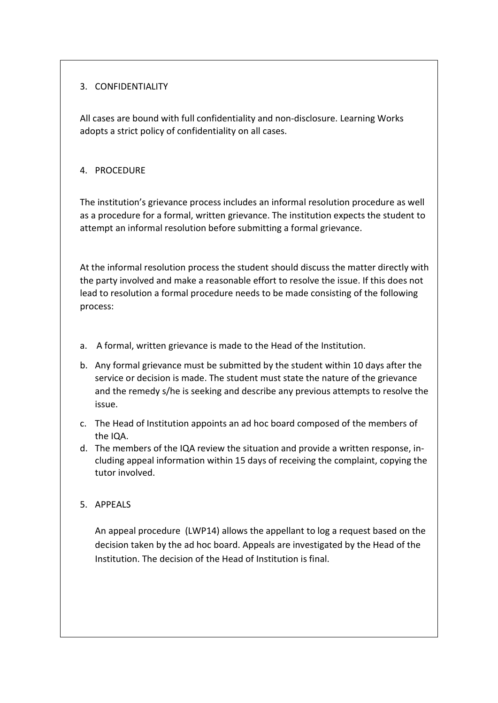# 3. CONFIDENTIALITY

All cases are bound with full confidentiality and non-disclosure. Learning Works adopts a strict policy of confidentiality on all cases.

# 4. PROCEDURE

The institution's grievance process includes an informal resolution procedure as well as a procedure for a formal, written grievance. The institution expects the student to attempt an informal resolution before submitting a formal grievance.

At the informal resolution process the student should discuss the matter directly with the party involved and make a reasonable effort to resolve the issue. If this does not lead to resolution a formal procedure needs to be made consisting of the following process:

- a. A formal, written grievance is made to the Head of the Institution.
- b. Any formal grievance must be submitted by the student within 10 days after the service or decision is made. The student must state the nature of the grievance and the remedy s/he is seeking and describe any previous attempts to resolve the issue.
- c. The Head of Institution appoints an ad hoc board composed of the members of the IQA.
- d. The members of the IQA review the situation and provide a written response, including appeal information within 15 days of receiving the complaint, copying the tutor involved.
- 5. APPEALS

An appeal procedure (LWP14) allows the appellant to log a request based on the decision taken by the ad hoc board. Appeals are investigated by the Head of the Institution. The decision of the Head of Institution is final.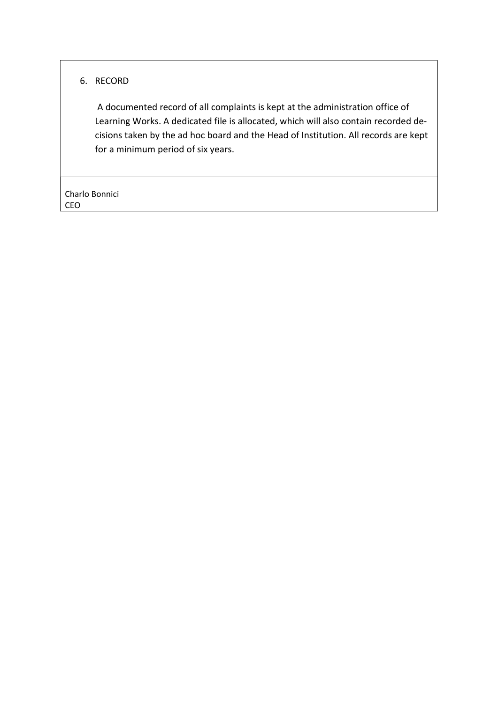# 6. RECORD

 A documented record of all complaints is kept at the administration office of Learning Works. A dedicated file is allocated, which will also contain recorded decisions taken by the ad hoc board and the Head of Institution. All records are kept for a minimum period of six years.

Charlo Bonnici CEO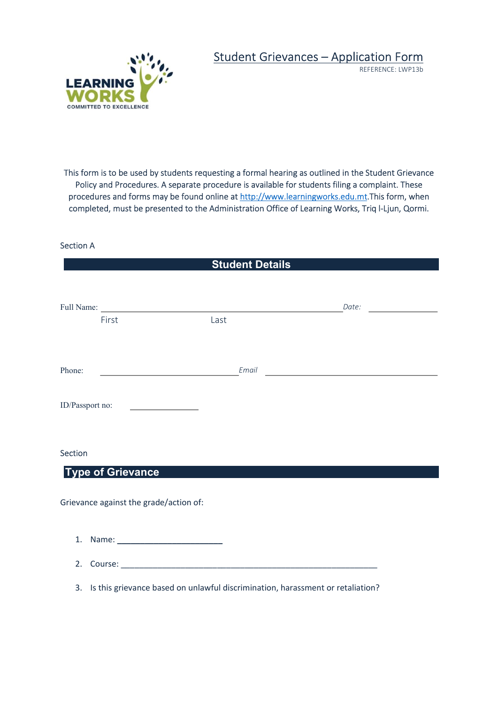

# Student Grievances – Application Form

REFERENCE: LWP13b

This form is to be used by students requesting a formal hearing as outlined in the Student Grievance Policy and Procedures. A separate procedure is available for students filing a complaint. These procedures and forms may be found online at http://www.learningworks.edu.mt.This form, when completed, must be presented to the Administration Office of Learning Works, Triq l-Ljun, Qormi.

#### Section A

# **Student Details** Full Name: Date: First Last Phone: Email ID/Passport no: Section

### Type of Grievance

Grievance against the grade/action of:

- 1. Name: \_\_\_\_\_\_\_\_\_\_\_\_\_\_\_\_\_\_\_\_\_\_\_
- 2. Course: \_\_\_\_\_\_\_\_\_\_\_\_\_\_\_\_\_\_\_\_\_\_\_\_\_\_\_\_\_\_\_\_\_\_\_\_\_\_\_\_\_\_\_\_\_\_\_\_\_\_\_\_\_\_\_\_
- 3. Is this grievance based on unlawful discrimination, harassment or retaliation?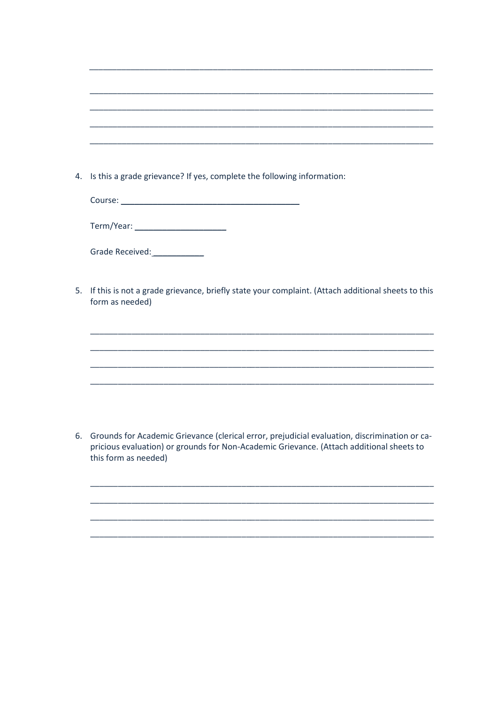|    | 4. Is this a grade grievance? If yes, complete the following information:                                                                                                                                            |
|----|----------------------------------------------------------------------------------------------------------------------------------------------------------------------------------------------------------------------|
|    |                                                                                                                                                                                                                      |
|    |                                                                                                                                                                                                                      |
|    |                                                                                                                                                                                                                      |
|    |                                                                                                                                                                                                                      |
| 5. | If this is not a grade grievance, briefly state your complaint. (Attach additional sheets to this<br>form as needed)                                                                                                 |
|    |                                                                                                                                                                                                                      |
|    |                                                                                                                                                                                                                      |
|    |                                                                                                                                                                                                                      |
|    |                                                                                                                                                                                                                      |
|    |                                                                                                                                                                                                                      |
|    |                                                                                                                                                                                                                      |
|    | 6. Grounds for Academic Grievance (clerical error, prejudicial evaluation, discrimination or ca-<br>pricious evaluation) or grounds for Non-Academic Grievance. (Attach additional sheets to<br>this form as needed) |
|    |                                                                                                                                                                                                                      |
|    |                                                                                                                                                                                                                      |
|    |                                                                                                                                                                                                                      |
|    |                                                                                                                                                                                                                      |